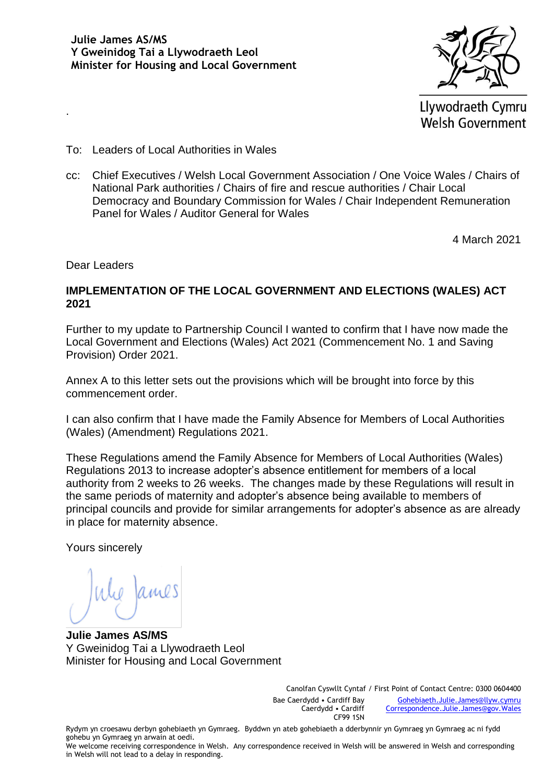

Llywodraeth Cymru **Welsh Government** 

- To: Leaders of Local Authorities in Wales
- cc: Chief Executives / Welsh Local Government Association / One Voice Wales / Chairs of National Park authorities / Chairs of fire and rescue authorities / Chair Local Democracy and Boundary Commission for Wales / Chair Independent Remuneration Panel for Wales / Auditor General for Wales

4 March 2021

Dear Leaders

.

#### **IMPLEMENTATION OF THE LOCAL GOVERNMENT AND ELECTIONS (WALES) ACT 2021**

Further to my update to Partnership Council I wanted to confirm that I have now made the Local Government and Elections (Wales) Act 2021 (Commencement No. 1 and Saving Provision) Order 2021.

Annex A to this letter sets out the provisions which will be brought into force by this commencement order.

I can also confirm that I have made the Family Absence for Members of Local Authorities (Wales) (Amendment) Regulations 2021.

These Regulations amend the Family Absence for Members of Local Authorities (Wales) Regulations 2013 to increase adopter's absence entitlement for members of a local authority from 2 weeks to 26 weeks. The changes made by these Regulations will result in the same periods of maternity and adopter's absence being available to members of principal councils and provide for similar arrangements for adopter's absence as are already in place for maternity absence.

Yours sincerely

**Julie James AS/MS** Y Gweinidog Tai a Llywodraeth Leol Minister for Housing and Local Government

Canolfan Cyswllt Cyntaf / First Point of Contact Centre: 0300 0604400 Bae Caerdydd • Cardiff Bay Caerdydd • Cardiff CF99 1SN

[Gohebiaeth.Julie.James@llyw.cymru](mailto:Gohebiaeth.Julie.James@llyw.cymru) [Correspondence.Julie.James@gov.Wales](mailto:Correspondence.Julie.James@gov.Wales)

Rydym yn croesawu derbyn gohebiaeth yn Gymraeg. Byddwn yn ateb gohebiaeth a dderbynnir yn Gymraeg yn Gymraeg ac ni fydd gohebu yn Gymraeg yn arwain at oedi.

We welcome receiving correspondence in Welsh. Any correspondence received in Welsh will be answered in Welsh and corresponding in Welsh will not lead to a delay in responding.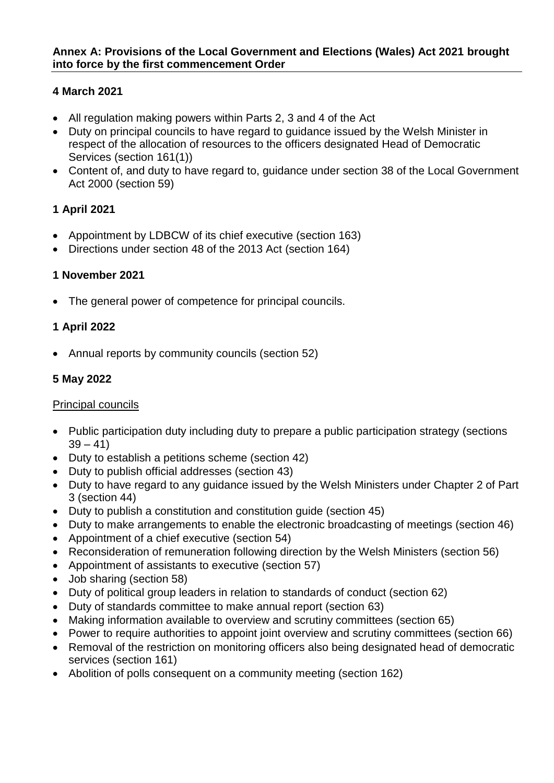## **4 March 2021**

- All regulation making powers within Parts 2, 3 and 4 of the Act
- Duty on principal councils to have regard to guidance issued by the Welsh Minister in respect of the allocation of resources to the officers designated Head of Democratic Services (section 161(1))
- Content of, and duty to have regard to, guidance under section 38 of the Local Government Act 2000 (section 59)

# **1 April 2021**

- Appointment by LDBCW of its chief executive (section 163)
- Directions under section 48 of the 2013 Act (section 164)

## **1 November 2021**

• The general power of competence for principal councils.

## **1 April 2022**

• Annual reports by community councils (section 52)

# **5 May 2022**

#### Principal councils

- Public participation duty including duty to prepare a public participation strategy (sections  $39 - 41$
- Duty to establish a petitions scheme (section 42)
- Duty to publish official addresses (section 43)
- Duty to have regard to any guidance issued by the Welsh Ministers under Chapter 2 of Part 3 (section 44)
- Duty to publish a constitution and constitution guide (section 45)
- Duty to make arrangements to enable the electronic broadcasting of meetings (section 46)
- Appointment of a chief executive (section 54)
- Reconsideration of remuneration following direction by the Welsh Ministers (section 56)
- Appointment of assistants to executive (section 57)
- Job sharing (section 58)
- Duty of political group leaders in relation to standards of conduct (section 62)
- Duty of standards committee to make annual report (section 63)
- Making information available to overview and scrutiny committees (section 65)
- Power to require authorities to appoint joint overview and scrutiny committees (section 66)
- Removal of the restriction on monitoring officers also being designated head of democratic services (section 161)
- Abolition of polls consequent on a community meeting (section 162)